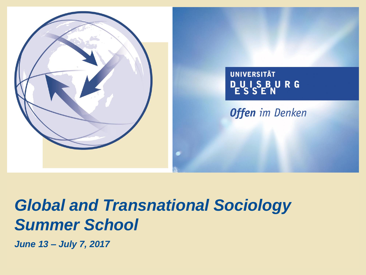



# *Global and Transnational Sociology Summer School*

*June 13 – July 7, 2017*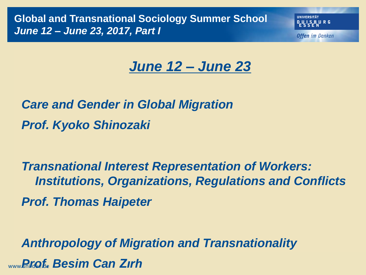**Global and Transnational Sociology Summer School** *June 12 – June 23, 2017, Part I*

**IINIVERSITÄT** 

**Offen** im Denken

## *June 12 – June 23*

*Care and Gender in Global Migration Prof. Kyoko Shinozaki* 

*Transnational Interest Representation of Workers: Institutions, Organizations, Regulations and Conflicts Prof. Thomas Haipeter*

*Anthropology of Migration and Transnationality* www.uni *Prof.* -due.de*Besim Can Zırh*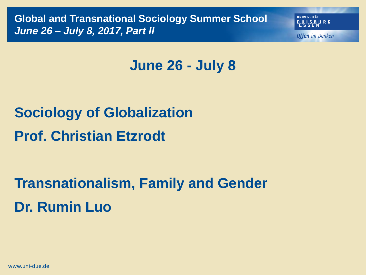**Global and Transnational Sociology Summer School** *June 26 – July 8, 2017, Part II*

**IINIVERSITÄT** DUISBURG

**Offen** im Denken

## **June 26 - July 8**

**Sociology of Globalization Prof. Christian Etzrodt**

**Transnationalism, Family and Gender Dr. Rumin Luo**

www.uni-due.de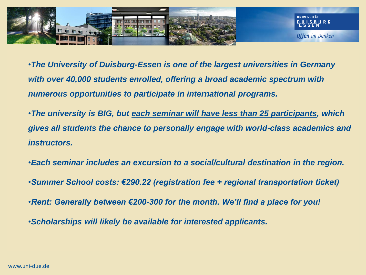

- •*The University of Duisburg-Essen is one of the largest universities in Germany with over 40,000 students enrolled, offering a broad academic spectrum with numerous opportunities to participate in international programs.*
- •*The university is BIG, but each seminar will have less than 25 participants, which gives all students the chance to personally engage with world-class academics and instructors.*
- •*Each seminar includes an excursion to a social/cultural destination in the region.*
- •*Summer School costs: €290.22 (registration fee + regional transportation ticket)*
- •*Rent: Generally between €200-300 for the month. We'll find a place for you!*
- •*Scholarships will likely be available for interested applicants.*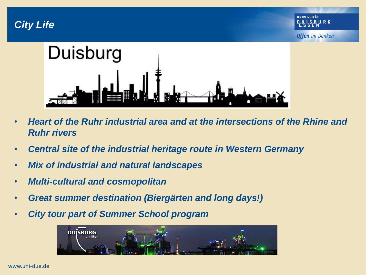*City Life*



- *Heart of the Ruhr industrial area and at the intersections of the Rhine and Ruhr rivers*
- *Central site of the industrial heritage route in Western Germany*
- *Mix of industrial and natural landscapes*
- *Multi-cultural and cosmopolitan*
- *Great summer destination (Biergärten and long days!)*
- *City tour part of Summer School program*

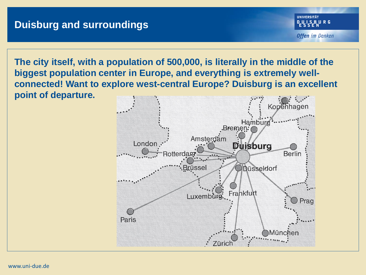**The city itself, with a population of 500,000, is literally in the middle of the biggest population center in Europe, and everything is extremely wellconnected! Want to explore west-central Europe? Duisburg is an excellent point of departure.**

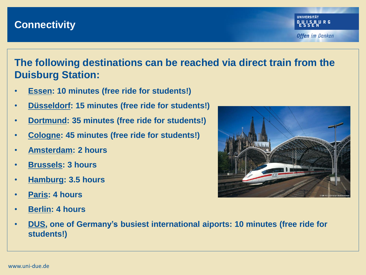#### **Connectivity**

#### **The following destinations can be reached via direct train from the Duisburg Station:**

- **Essen: 10 minutes (free ride for students!)**
- **Düsseldorf: 15 minutes (free ride for students!)**
- **Dortmund: 35 minutes (free ride for students!)**
- **Cologne: 45 minutes (free ride for students!)**
- **Amsterdam: 2 hours**
- **Brussels: 3 hours**
- **Hamburg: 3.5 hours**
- **Paris: 4 hours**
- **Berlin: 4 hours**



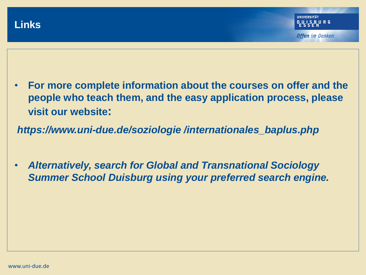- **For more complete information about the courses on offer and the people who teach them, and the easy application process, please visit our website:**
- *https://www.uni-due.de/soziologie /internationales\_baplus.php*
- *Alternatively, search for Global and Transnational Sociology Summer School Duisburg using your preferred search engine.*